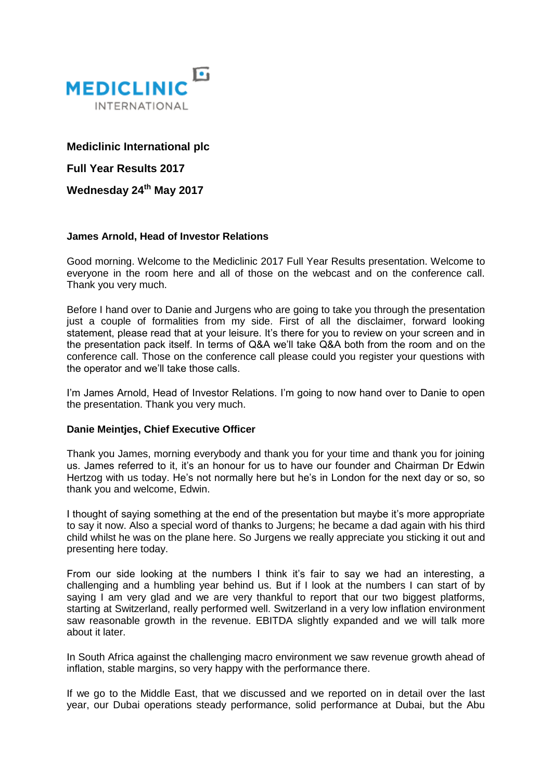

# **Mediclinic International plc**

**Full Year Results 2017**

**Wednesday 24th May 2017**

# **James Arnold, Head of Investor Relations**

Good morning. Welcome to the Mediclinic 2017 Full Year Results presentation. Welcome to everyone in the room here and all of those on the webcast and on the conference call. Thank you very much.

Before I hand over to Danie and Jurgens who are going to take you through the presentation just a couple of formalities from my side. First of all the disclaimer, forward looking statement, please read that at your leisure. It's there for you to review on your screen and in the presentation pack itself. In terms of Q&A we'll take Q&A both from the room and on the conference call. Those on the conference call please could you register your questions with the operator and we'll take those calls.

I'm James Arnold, Head of Investor Relations. I'm going to now hand over to Danie to open the presentation. Thank you very much.

### **Danie Meintjes, Chief Executive Officer**

Thank you James, morning everybody and thank you for your time and thank you for joining us. James referred to it, it's an honour for us to have our founder and Chairman Dr Edwin Hertzog with us today. He's not normally here but he's in London for the next day or so, so thank you and welcome, Edwin.

I thought of saying something at the end of the presentation but maybe it's more appropriate to say it now. Also a special word of thanks to Jurgens; he became a dad again with his third child whilst he was on the plane here. So Jurgens we really appreciate you sticking it out and presenting here today.

From our side looking at the numbers I think it's fair to say we had an interesting, a challenging and a humbling year behind us. But if I look at the numbers I can start of by saying I am very glad and we are very thankful to report that our two biggest platforms, starting at Switzerland, really performed well. Switzerland in a very low inflation environment saw reasonable growth in the revenue. EBITDA slightly expanded and we will talk more about it later.

In South Africa against the challenging macro environment we saw revenue growth ahead of inflation, stable margins, so very happy with the performance there.

If we go to the Middle East, that we discussed and we reported on in detail over the last year, our Dubai operations steady performance, solid performance at Dubai, but the Abu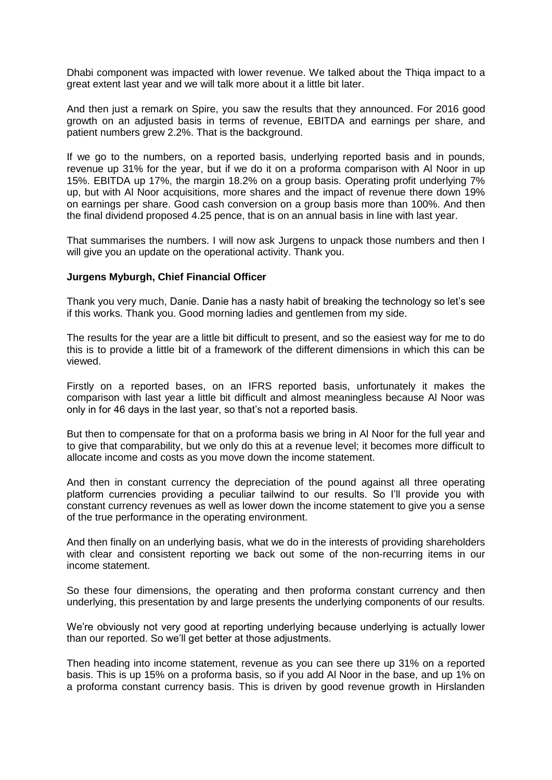Dhabi component was impacted with lower revenue. We talked about the Thiqa impact to a great extent last year and we will talk more about it a little bit later.

And then just a remark on Spire, you saw the results that they announced. For 2016 good growth on an adjusted basis in terms of revenue, EBITDA and earnings per share, and patient numbers grew 2.2%. That is the background.

If we go to the numbers, on a reported basis, underlying reported basis and in pounds, revenue up 31% for the year, but if we do it on a proforma comparison with Al Noor in up 15%. EBITDA up 17%, the margin 18.2% on a group basis. Operating profit underlying 7% up, but with Al Noor acquisitions, more shares and the impact of revenue there down 19% on earnings per share. Good cash conversion on a group basis more than 100%. And then the final dividend proposed 4.25 pence, that is on an annual basis in line with last year.

That summarises the numbers. I will now ask Jurgens to unpack those numbers and then I will give you an update on the operational activity. Thank you.

### **Jurgens Myburgh, Chief Financial Officer**

Thank you very much, Danie. Danie has a nasty habit of breaking the technology so let's see if this works. Thank you. Good morning ladies and gentlemen from my side.

The results for the year are a little bit difficult to present, and so the easiest way for me to do this is to provide a little bit of a framework of the different dimensions in which this can be viewed.

Firstly on a reported bases, on an IFRS reported basis, unfortunately it makes the comparison with last year a little bit difficult and almost meaningless because Al Noor was only in for 46 days in the last year, so that's not a reported basis.

But then to compensate for that on a proforma basis we bring in Al Noor for the full year and to give that comparability, but we only do this at a revenue level; it becomes more difficult to allocate income and costs as you move down the income statement.

And then in constant currency the depreciation of the pound against all three operating platform currencies providing a peculiar tailwind to our results. So I'll provide you with constant currency revenues as well as lower down the income statement to give you a sense of the true performance in the operating environment.

And then finally on an underlying basis, what we do in the interests of providing shareholders with clear and consistent reporting we back out some of the non-recurring items in our income statement.

So these four dimensions, the operating and then proforma constant currency and then underlying, this presentation by and large presents the underlying components of our results.

We're obviously not very good at reporting underlying because underlying is actually lower than our reported. So we'll get better at those adjustments.

Then heading into income statement, revenue as you can see there up 31% on a reported basis. This is up 15% on a proforma basis, so if you add Al Noor in the base, and up 1% on a proforma constant currency basis. This is driven by good revenue growth in Hirslanden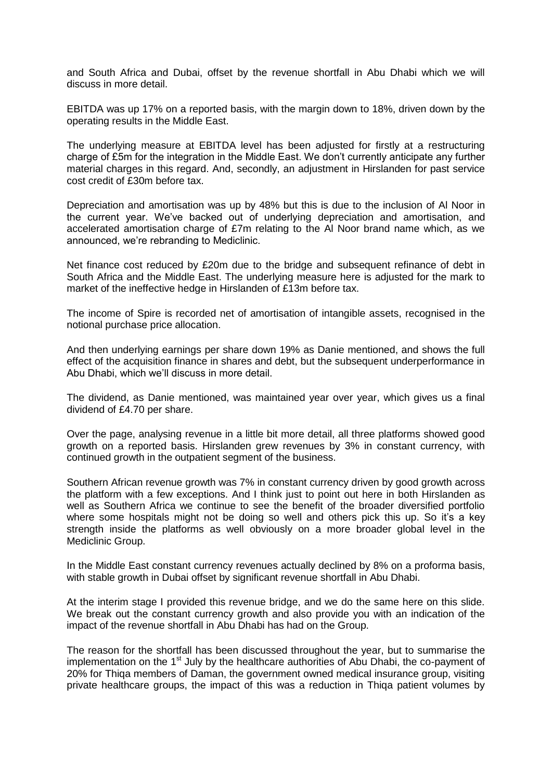and South Africa and Dubai, offset by the revenue shortfall in Abu Dhabi which we will discuss in more detail.

EBITDA was up 17% on a reported basis, with the margin down to 18%, driven down by the operating results in the Middle East.

The underlying measure at EBITDA level has been adjusted for firstly at a restructuring charge of £5m for the integration in the Middle East. We don't currently anticipate any further material charges in this regard. And, secondly, an adjustment in Hirslanden for past service cost credit of £30m before tax.

Depreciation and amortisation was up by 48% but this is due to the inclusion of Al Noor in the current year. We've backed out of underlying depreciation and amortisation, and accelerated amortisation charge of £7m relating to the Al Noor brand name which, as we announced, we're rebranding to Mediclinic.

Net finance cost reduced by £20m due to the bridge and subsequent refinance of debt in South Africa and the Middle East. The underlying measure here is adjusted for the mark to market of the ineffective hedge in Hirslanden of £13m before tax.

The income of Spire is recorded net of amortisation of intangible assets, recognised in the notional purchase price allocation.

And then underlying earnings per share down 19% as Danie mentioned, and shows the full effect of the acquisition finance in shares and debt, but the subsequent underperformance in Abu Dhabi, which we'll discuss in more detail.

The dividend, as Danie mentioned, was maintained year over year, which gives us a final dividend of £4.70 per share.

Over the page, analysing revenue in a little bit more detail, all three platforms showed good growth on a reported basis. Hirslanden grew revenues by 3% in constant currency, with continued growth in the outpatient segment of the business.

Southern African revenue growth was 7% in constant currency driven by good growth across the platform with a few exceptions. And I think just to point out here in both Hirslanden as well as Southern Africa we continue to see the benefit of the broader diversified portfolio where some hospitals might not be doing so well and others pick this up. So it's a key strength inside the platforms as well obviously on a more broader global level in the Mediclinic Group.

In the Middle East constant currency revenues actually declined by 8% on a proforma basis, with stable growth in Dubai offset by significant revenue shortfall in Abu Dhabi.

At the interim stage I provided this revenue bridge, and we do the same here on this slide. We break out the constant currency growth and also provide you with an indication of the impact of the revenue shortfall in Abu Dhabi has had on the Group.

The reason for the shortfall has been discussed throughout the year, but to summarise the implementation on the  $1<sup>st</sup>$  July by the healthcare authorities of Abu Dhabi, the co-payment of 20% for Thiqa members of Daman, the government owned medical insurance group, visiting private healthcare groups, the impact of this was a reduction in Thiqa patient volumes by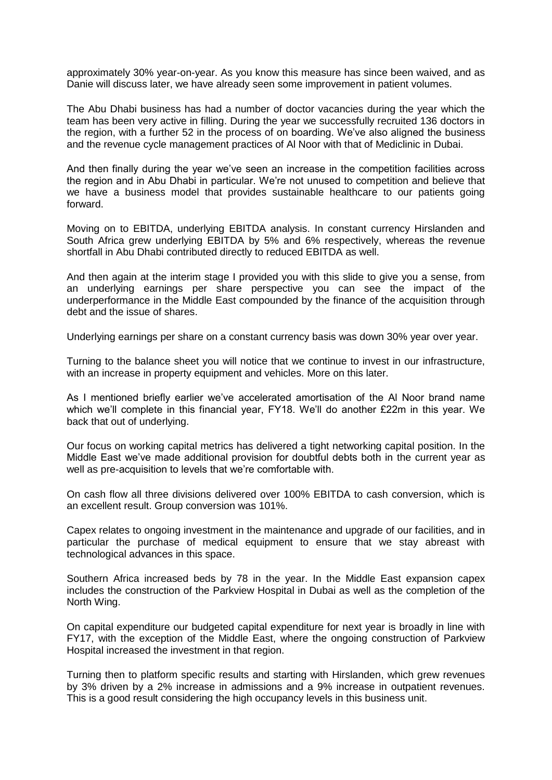approximately 30% year-on-year. As you know this measure has since been waived, and as Danie will discuss later, we have already seen some improvement in patient volumes.

The Abu Dhabi business has had a number of doctor vacancies during the year which the team has been very active in filling. During the year we successfully recruited 136 doctors in the region, with a further 52 in the process of on boarding. We've also aligned the business and the revenue cycle management practices of Al Noor with that of Mediclinic in Dubai.

And then finally during the year we've seen an increase in the competition facilities across the region and in Abu Dhabi in particular. We're not unused to competition and believe that we have a business model that provides sustainable healthcare to our patients going forward.

Moving on to EBITDA, underlying EBITDA analysis. In constant currency Hirslanden and South Africa grew underlying EBITDA by 5% and 6% respectively, whereas the revenue shortfall in Abu Dhabi contributed directly to reduced EBITDA as well.

And then again at the interim stage I provided you with this slide to give you a sense, from an underlying earnings per share perspective you can see the impact of the underperformance in the Middle East compounded by the finance of the acquisition through debt and the issue of shares.

Underlying earnings per share on a constant currency basis was down 30% year over year.

Turning to the balance sheet you will notice that we continue to invest in our infrastructure, with an increase in property equipment and vehicles. More on this later.

As I mentioned briefly earlier we've accelerated amortisation of the Al Noor brand name which we'll complete in this financial year, FY18. We'll do another £22m in this year. We back that out of underlying.

Our focus on working capital metrics has delivered a tight networking capital position. In the Middle East we've made additional provision for doubtful debts both in the current year as well as pre-acquisition to levels that we're comfortable with.

On cash flow all three divisions delivered over 100% EBITDA to cash conversion, which is an excellent result. Group conversion was 101%.

Capex relates to ongoing investment in the maintenance and upgrade of our facilities, and in particular the purchase of medical equipment to ensure that we stay abreast with technological advances in this space.

Southern Africa increased beds by 78 in the year. In the Middle East expansion capex includes the construction of the Parkview Hospital in Dubai as well as the completion of the North Wing.

On capital expenditure our budgeted capital expenditure for next year is broadly in line with FY17, with the exception of the Middle East, where the ongoing construction of Parkview Hospital increased the investment in that region.

Turning then to platform specific results and starting with Hirslanden, which grew revenues by 3% driven by a 2% increase in admissions and a 9% increase in outpatient revenues. This is a good result considering the high occupancy levels in this business unit.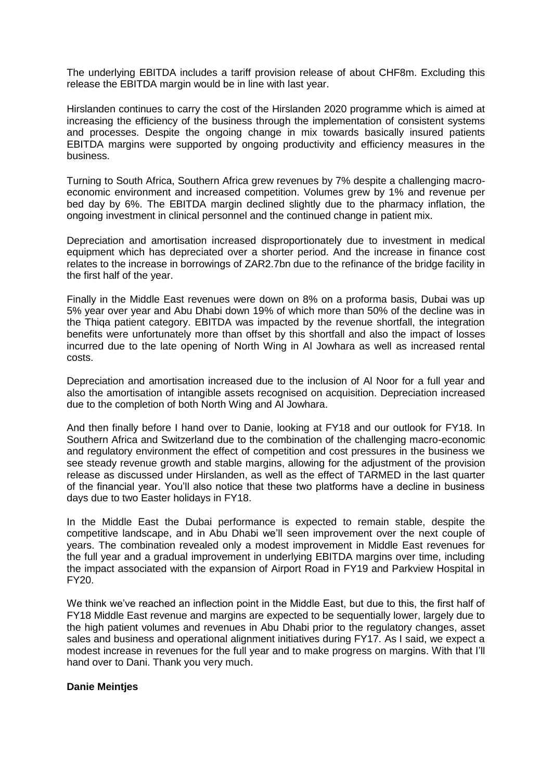The underlying EBITDA includes a tariff provision release of about CHF8m. Excluding this release the EBITDA margin would be in line with last year.

Hirslanden continues to carry the cost of the Hirslanden 2020 programme which is aimed at increasing the efficiency of the business through the implementation of consistent systems and processes. Despite the ongoing change in mix towards basically insured patients EBITDA margins were supported by ongoing productivity and efficiency measures in the business.

Turning to South Africa, Southern Africa grew revenues by 7% despite a challenging macroeconomic environment and increased competition. Volumes grew by 1% and revenue per bed day by 6%. The EBITDA margin declined slightly due to the pharmacy inflation, the ongoing investment in clinical personnel and the continued change in patient mix.

Depreciation and amortisation increased disproportionately due to investment in medical equipment which has depreciated over a shorter period. And the increase in finance cost relates to the increase in borrowings of ZAR2.7bn due to the refinance of the bridge facility in the first half of the year.

Finally in the Middle East revenues were down on 8% on a proforma basis, Dubai was up 5% year over year and Abu Dhabi down 19% of which more than 50% of the decline was in the Thiqa patient category. EBITDA was impacted by the revenue shortfall, the integration benefits were unfortunately more than offset by this shortfall and also the impact of losses incurred due to the late opening of North Wing in Al Jowhara as well as increased rental costs.

Depreciation and amortisation increased due to the inclusion of Al Noor for a full year and also the amortisation of intangible assets recognised on acquisition. Depreciation increased due to the completion of both North Wing and Al Jowhara.

And then finally before I hand over to Danie, looking at FY18 and our outlook for FY18. In Southern Africa and Switzerland due to the combination of the challenging macro-economic and regulatory environment the effect of competition and cost pressures in the business we see steady revenue growth and stable margins, allowing for the adjustment of the provision release as discussed under Hirslanden, as well as the effect of TARMED in the last quarter of the financial year. You'll also notice that these two platforms have a decline in business days due to two Easter holidays in FY18.

In the Middle East the Dubai performance is expected to remain stable, despite the competitive landscape, and in Abu Dhabi we'll seen improvement over the next couple of years. The combination revealed only a modest improvement in Middle East revenues for the full year and a gradual improvement in underlying EBITDA margins over time, including the impact associated with the expansion of Airport Road in FY19 and Parkview Hospital in FY20.

We think we've reached an inflection point in the Middle East, but due to this, the first half of FY18 Middle East revenue and margins are expected to be sequentially lower, largely due to the high patient volumes and revenues in Abu Dhabi prior to the regulatory changes, asset sales and business and operational alignment initiatives during FY17. As I said, we expect a modest increase in revenues for the full year and to make progress on margins. With that I'll hand over to Dani. Thank you very much.

### **Danie Meintjes**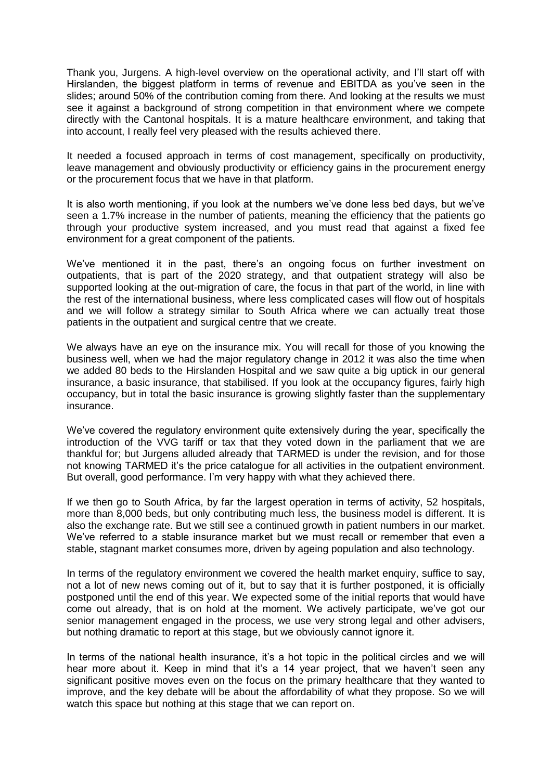Thank you, Jurgens. A high-level overview on the operational activity, and I'll start off with Hirslanden, the biggest platform in terms of revenue and EBITDA as you've seen in the slides; around 50% of the contribution coming from there. And looking at the results we must see it against a background of strong competition in that environment where we compete directly with the Cantonal hospitals. It is a mature healthcare environment, and taking that into account, I really feel very pleased with the results achieved there.

It needed a focused approach in terms of cost management, specifically on productivity, leave management and obviously productivity or efficiency gains in the procurement energy or the procurement focus that we have in that platform.

It is also worth mentioning, if you look at the numbers we've done less bed days, but we've seen a 1.7% increase in the number of patients, meaning the efficiency that the patients go through your productive system increased, and you must read that against a fixed fee environment for a great component of the patients.

We've mentioned it in the past, there's an ongoing focus on further investment on outpatients, that is part of the 2020 strategy, and that outpatient strategy will also be supported looking at the out-migration of care, the focus in that part of the world, in line with the rest of the international business, where less complicated cases will flow out of hospitals and we will follow a strategy similar to South Africa where we can actually treat those patients in the outpatient and surgical centre that we create.

We always have an eye on the insurance mix. You will recall for those of you knowing the business well, when we had the major regulatory change in 2012 it was also the time when we added 80 beds to the Hirslanden Hospital and we saw quite a big uptick in our general insurance, a basic insurance, that stabilised. If you look at the occupancy figures, fairly high occupancy, but in total the basic insurance is growing slightly faster than the supplementary insurance.

We've covered the regulatory environment quite extensively during the year, specifically the introduction of the VVG tariff or tax that they voted down in the parliament that we are thankful for; but Jurgens alluded already that TARMED is under the revision, and for those not knowing TARMED it's the price catalogue for all activities in the outpatient environment. But overall, good performance. I'm very happy with what they achieved there.

If we then go to South Africa, by far the largest operation in terms of activity, 52 hospitals, more than 8,000 beds, but only contributing much less, the business model is different. It is also the exchange rate. But we still see a continued growth in patient numbers in our market. We've referred to a stable insurance market but we must recall or remember that even a stable, stagnant market consumes more, driven by ageing population and also technology.

In terms of the regulatory environment we covered the health market enquiry, suffice to say, not a lot of new news coming out of it, but to say that it is further postponed, it is officially postponed until the end of this year. We expected some of the initial reports that would have come out already, that is on hold at the moment. We actively participate, we've got our senior management engaged in the process, we use very strong legal and other advisers, but nothing dramatic to report at this stage, but we obviously cannot ignore it.

In terms of the national health insurance, it's a hot topic in the political circles and we will hear more about it. Keep in mind that it's a 14 year project, that we haven't seen any significant positive moves even on the focus on the primary healthcare that they wanted to improve, and the key debate will be about the affordability of what they propose. So we will watch this space but nothing at this stage that we can report on.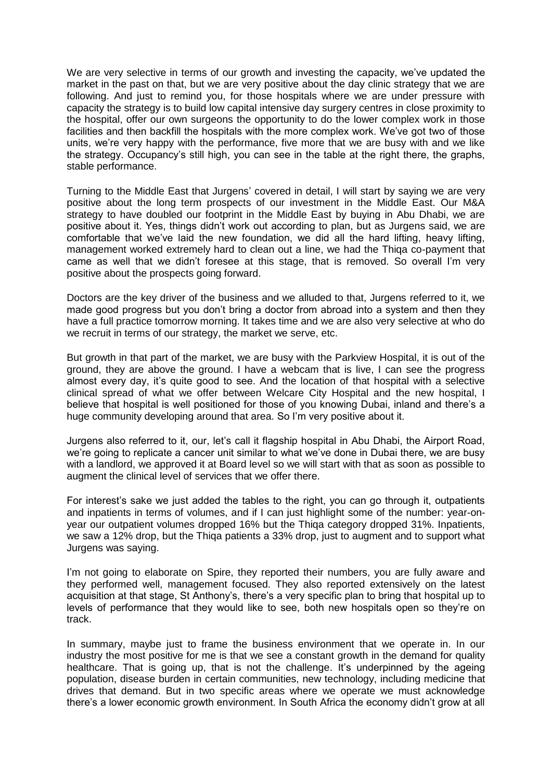We are very selective in terms of our growth and investing the capacity, we've updated the market in the past on that, but we are very positive about the day clinic strategy that we are following. And just to remind you, for those hospitals where we are under pressure with capacity the strategy is to build low capital intensive day surgery centres in close proximity to the hospital, offer our own surgeons the opportunity to do the lower complex work in those facilities and then backfill the hospitals with the more complex work. We've got two of those units, we're very happy with the performance, five more that we are busy with and we like the strategy. Occupancy's still high, you can see in the table at the right there, the graphs, stable performance.

Turning to the Middle East that Jurgens' covered in detail, I will start by saying we are very positive about the long term prospects of our investment in the Middle East. Our M&A strategy to have doubled our footprint in the Middle East by buying in Abu Dhabi, we are positive about it. Yes, things didn't work out according to plan, but as Jurgens said, we are comfortable that we've laid the new foundation, we did all the hard lifting, heavy lifting, management worked extremely hard to clean out a line, we had the Thiqa co-payment that came as well that we didn't foresee at this stage, that is removed. So overall I'm very positive about the prospects going forward.

Doctors are the key driver of the business and we alluded to that, Jurgens referred to it, we made good progress but you don't bring a doctor from abroad into a system and then they have a full practice tomorrow morning. It takes time and we are also very selective at who do we recruit in terms of our strategy, the market we serve, etc.

But growth in that part of the market, we are busy with the Parkview Hospital, it is out of the ground, they are above the ground. I have a webcam that is live, I can see the progress almost every day, it's quite good to see. And the location of that hospital with a selective clinical spread of what we offer between Welcare City Hospital and the new hospital, I believe that hospital is well positioned for those of you knowing Dubai, inland and there's a huge community developing around that area. So I'm very positive about it.

Jurgens also referred to it, our, let's call it flagship hospital in Abu Dhabi, the Airport Road, we're going to replicate a cancer unit similar to what we've done in Dubai there, we are busy with a landlord, we approved it at Board level so we will start with that as soon as possible to augment the clinical level of services that we offer there.

For interest's sake we just added the tables to the right, you can go through it, outpatients and inpatients in terms of volumes, and if I can just highlight some of the number: year-onyear our outpatient volumes dropped 16% but the Thiqa category dropped 31%. Inpatients, we saw a 12% drop, but the Thiqa patients a 33% drop, just to augment and to support what Jurgens was saying.

I'm not going to elaborate on Spire, they reported their numbers, you are fully aware and they performed well, management focused. They also reported extensively on the latest acquisition at that stage, St Anthony's, there's a very specific plan to bring that hospital up to levels of performance that they would like to see, both new hospitals open so they're on track.

In summary, maybe just to frame the business environment that we operate in. In our industry the most positive for me is that we see a constant growth in the demand for quality healthcare. That is going up, that is not the challenge. It's underpinned by the ageing population, disease burden in certain communities, new technology, including medicine that drives that demand. But in two specific areas where we operate we must acknowledge there's a lower economic growth environment. In South Africa the economy didn't grow at all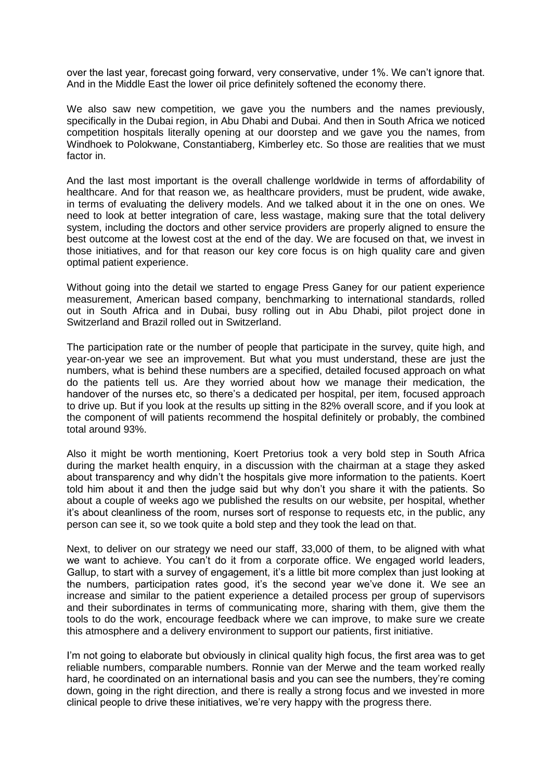over the last year, forecast going forward, very conservative, under 1%. We can't ignore that. And in the Middle East the lower oil price definitely softened the economy there.

We also saw new competition, we gave you the numbers and the names previously, specifically in the Dubai region, in Abu Dhabi and Dubai. And then in South Africa we noticed competition hospitals literally opening at our doorstep and we gave you the names, from Windhoek to Polokwane, Constantiaberg, Kimberley etc. So those are realities that we must factor in.

And the last most important is the overall challenge worldwide in terms of affordability of healthcare. And for that reason we, as healthcare providers, must be prudent, wide awake, in terms of evaluating the delivery models. And we talked about it in the one on ones. We need to look at better integration of care, less wastage, making sure that the total delivery system, including the doctors and other service providers are properly aligned to ensure the best outcome at the lowest cost at the end of the day. We are focused on that, we invest in those initiatives, and for that reason our key core focus is on high quality care and given optimal patient experience.

Without going into the detail we started to engage Press Ganey for our patient experience measurement, American based company, benchmarking to international standards, rolled out in South Africa and in Dubai, busy rolling out in Abu Dhabi, pilot project done in Switzerland and Brazil rolled out in Switzerland.

The participation rate or the number of people that participate in the survey, quite high, and year-on-year we see an improvement. But what you must understand, these are just the numbers, what is behind these numbers are a specified, detailed focused approach on what do the patients tell us. Are they worried about how we manage their medication, the handover of the nurses etc, so there's a dedicated per hospital, per item, focused approach to drive up. But if you look at the results up sitting in the 82% overall score, and if you look at the component of will patients recommend the hospital definitely or probably, the combined total around 93%.

Also it might be worth mentioning, Koert Pretorius took a very bold step in South Africa during the market health enquiry, in a discussion with the chairman at a stage they asked about transparency and why didn't the hospitals give more information to the patients. Koert told him about it and then the judge said but why don't you share it with the patients. So about a couple of weeks ago we published the results on our website, per hospital, whether it's about cleanliness of the room, nurses sort of response to requests etc, in the public, any person can see it, so we took quite a bold step and they took the lead on that.

Next, to deliver on our strategy we need our staff, 33,000 of them, to be aligned with what we want to achieve. You can't do it from a corporate office. We engaged world leaders, Gallup, to start with a survey of engagement, it's a little bit more complex than just looking at the numbers, participation rates good, it's the second year we've done it. We see an increase and similar to the patient experience a detailed process per group of supervisors and their subordinates in terms of communicating more, sharing with them, give them the tools to do the work, encourage feedback where we can improve, to make sure we create this atmosphere and a delivery environment to support our patients, first initiative.

I'm not going to elaborate but obviously in clinical quality high focus, the first area was to get reliable numbers, comparable numbers. Ronnie van der Merwe and the team worked really hard, he coordinated on an international basis and you can see the numbers, they're coming down, going in the right direction, and there is really a strong focus and we invested in more clinical people to drive these initiatives, we're very happy with the progress there.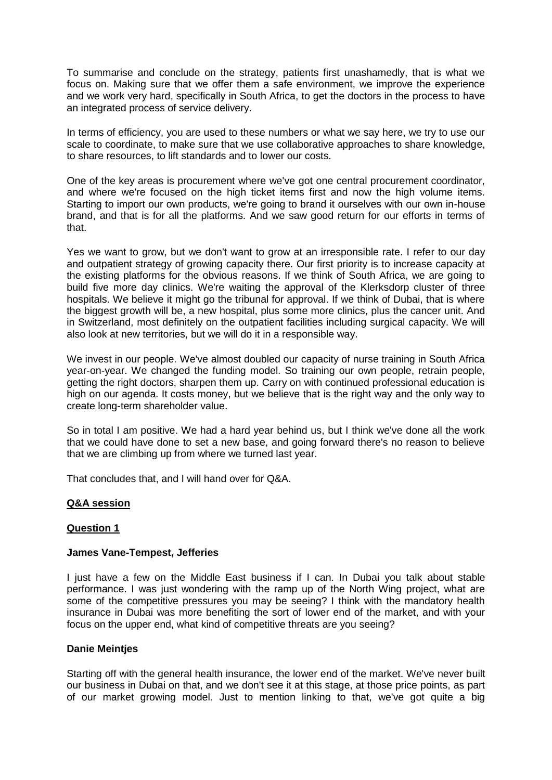To summarise and conclude on the strategy, patients first unashamedly, that is what we focus on. Making sure that we offer them a safe environment, we improve the experience and we work very hard, specifically in South Africa, to get the doctors in the process to have an integrated process of service delivery.

In terms of efficiency, you are used to these numbers or what we say here, we try to use our scale to coordinate, to make sure that we use collaborative approaches to share knowledge, to share resources, to lift standards and to lower our costs.

One of the key areas is procurement where we've got one central procurement coordinator, and where we're focused on the high ticket items first and now the high volume items. Starting to import our own products, we're going to brand it ourselves with our own in-house brand, and that is for all the platforms. And we saw good return for our efforts in terms of that.

Yes we want to grow, but we don't want to grow at an irresponsible rate. I refer to our day and outpatient strategy of growing capacity there. Our first priority is to increase capacity at the existing platforms for the obvious reasons. If we think of South Africa, we are going to build five more day clinics. We're waiting the approval of the Klerksdorp cluster of three hospitals. We believe it might go the tribunal for approval. If we think of Dubai, that is where the biggest growth will be, a new hospital, plus some more clinics, plus the cancer unit. And in Switzerland, most definitely on the outpatient facilities including surgical capacity. We will also look at new territories, but we will do it in a responsible way.

We invest in our people. We've almost doubled our capacity of nurse training in South Africa year-on-year. We changed the funding model. So training our own people, retrain people, getting the right doctors, sharpen them up. Carry on with continued professional education is high on our agenda. It costs money, but we believe that is the right way and the only way to create long-term shareholder value.

So in total I am positive. We had a hard year behind us, but I think we've done all the work that we could have done to set a new base, and going forward there's no reason to believe that we are climbing up from where we turned last year.

That concludes that, and I will hand over for Q&A.

# **Q&A session**

### **Question 1**

### **James Vane-Tempest, Jefferies**

I just have a few on the Middle East business if I can. In Dubai you talk about stable performance. I was just wondering with the ramp up of the North Wing project, what are some of the competitive pressures you may be seeing? I think with the mandatory health insurance in Dubai was more benefiting the sort of lower end of the market, and with your focus on the upper end, what kind of competitive threats are you seeing?

### **Danie Meintjes**

Starting off with the general health insurance, the lower end of the market. We've never built our business in Dubai on that, and we don't see it at this stage, at those price points, as part of our market growing model. Just to mention linking to that, we've got quite a big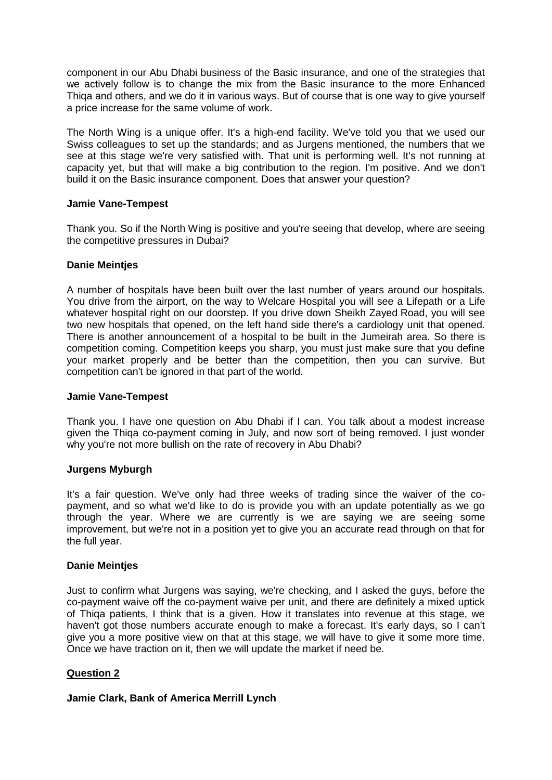component in our Abu Dhabi business of the Basic insurance, and one of the strategies that we actively follow is to change the mix from the Basic insurance to the more Enhanced Thiqa and others, and we do it in various ways. But of course that is one way to give yourself a price increase for the same volume of work.

The North Wing is a unique offer. It's a high-end facility. We've told you that we used our Swiss colleagues to set up the standards; and as Jurgens mentioned, the numbers that we see at this stage we're very satisfied with. That unit is performing well. It's not running at capacity yet, but that will make a big contribution to the region. I'm positive. And we don't build it on the Basic insurance component. Does that answer your question?

# **Jamie Vane-Tempest**

Thank you. So if the North Wing is positive and you're seeing that develop, where are seeing the competitive pressures in Dubai?

# **Danie Meintjes**

A number of hospitals have been built over the last number of years around our hospitals. You drive from the airport, on the way to Welcare Hospital you will see a Lifepath or a Life whatever hospital right on our doorstep. If you drive down Sheikh Zayed Road, you will see two new hospitals that opened, on the left hand side there's a cardiology unit that opened. There is another announcement of a hospital to be built in the Jumeirah area. So there is competition coming. Competition keeps you sharp, you must just make sure that you define your market properly and be better than the competition, then you can survive. But competition can't be ignored in that part of the world.

# **Jamie Vane-Tempest**

Thank you. I have one question on Abu Dhabi if I can. You talk about a modest increase given the Thiqa co-payment coming in July, and now sort of being removed. I just wonder why you're not more bullish on the rate of recovery in Abu Dhabi?

# **Jurgens Myburgh**

It's a fair question. We've only had three weeks of trading since the waiver of the copayment, and so what we'd like to do is provide you with an update potentially as we go through the year. Where we are currently is we are saying we are seeing some improvement, but we're not in a position yet to give you an accurate read through on that for the full year.

# **Danie Meintjes**

Just to confirm what Jurgens was saying, we're checking, and I asked the guys, before the co-payment waive off the co-payment waive per unit, and there are definitely a mixed uptick of Thiqa patients, I think that is a given. How it translates into revenue at this stage, we haven't got those numbers accurate enough to make a forecast. It's early days, so I can't give you a more positive view on that at this stage, we will have to give it some more time. Once we have traction on it, then we will update the market if need be.

# **Question 2**

# **Jamie Clark, Bank of America Merrill Lynch**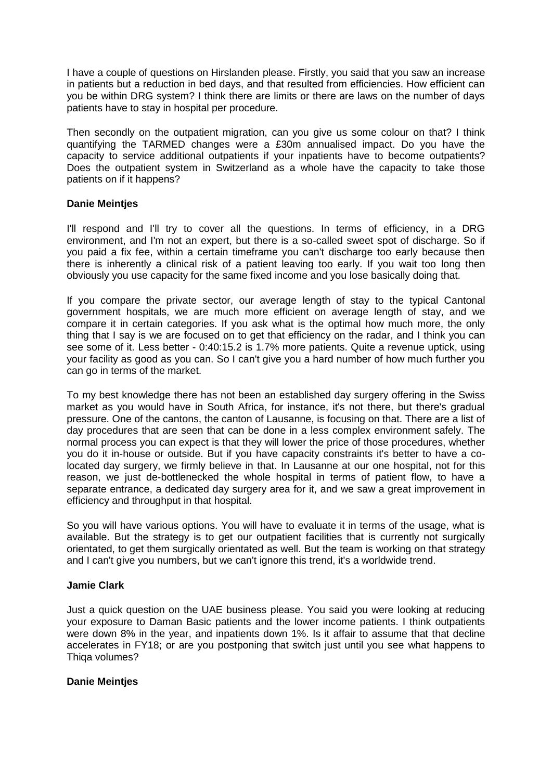I have a couple of questions on Hirslanden please. Firstly, you said that you saw an increase in patients but a reduction in bed days, and that resulted from efficiencies. How efficient can you be within DRG system? I think there are limits or there are laws on the number of days patients have to stay in hospital per procedure.

Then secondly on the outpatient migration, can you give us some colour on that? I think quantifying the TARMED changes were a £30m annualised impact. Do you have the capacity to service additional outpatients if your inpatients have to become outpatients? Does the outpatient system in Switzerland as a whole have the capacity to take those patients on if it happens?

### **Danie Meintjes**

I'll respond and I'll try to cover all the questions. In terms of efficiency, in a DRG environment, and I'm not an expert, but there is a so-called sweet spot of discharge. So if you paid a fix fee, within a certain timeframe you can't discharge too early because then there is inherently a clinical risk of a patient leaving too early. If you wait too long then obviously you use capacity for the same fixed income and you lose basically doing that.

If you compare the private sector, our average length of stay to the typical Cantonal government hospitals, we are much more efficient on average length of stay, and we compare it in certain categories. If you ask what is the optimal how much more, the only thing that I say is we are focused on to get that efficiency on the radar, and I think you can see some of it. Less better - 0:40:15.2 is 1.7% more patients. Quite a revenue uptick, using your facility as good as you can. So I can't give you a hard number of how much further you can go in terms of the market.

To my best knowledge there has not been an established day surgery offering in the Swiss market as you would have in South Africa, for instance, it's not there, but there's gradual pressure. One of the cantons, the canton of Lausanne, is focusing on that. There are a list of day procedures that are seen that can be done in a less complex environment safely. The normal process you can expect is that they will lower the price of those procedures, whether you do it in-house or outside. But if you have capacity constraints it's better to have a colocated day surgery, we firmly believe in that. In Lausanne at our one hospital, not for this reason, we just de-bottlenecked the whole hospital in terms of patient flow, to have a separate entrance, a dedicated day surgery area for it, and we saw a great improvement in efficiency and throughput in that hospital.

So you will have various options. You will have to evaluate it in terms of the usage, what is available. But the strategy is to get our outpatient facilities that is currently not surgically orientated, to get them surgically orientated as well. But the team is working on that strategy and I can't give you numbers, but we can't ignore this trend, it's a worldwide trend.

# **Jamie Clark**

Just a quick question on the UAE business please. You said you were looking at reducing your exposure to Daman Basic patients and the lower income patients. I think outpatients were down 8% in the year, and inpatients down 1%. Is it affair to assume that that decline accelerates in FY18; or are you postponing that switch just until you see what happens to Thiqa volumes?

### **Danie Meintjes**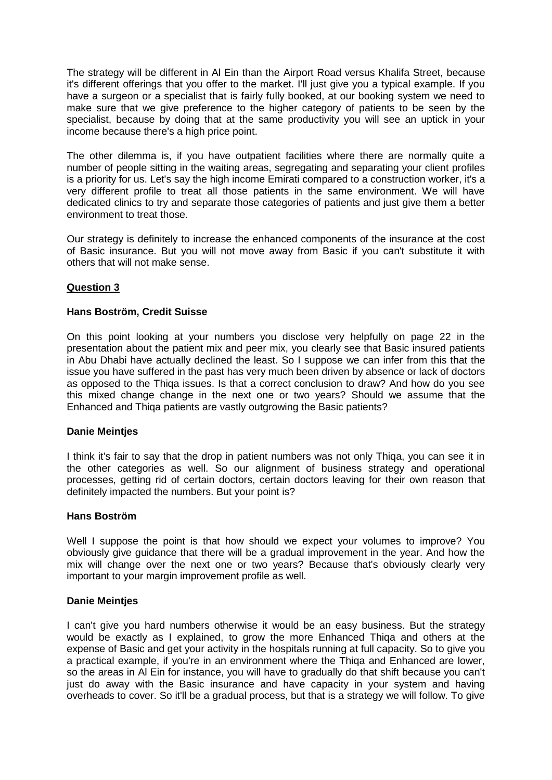The strategy will be different in Al Ein than the Airport Road versus Khalifa Street, because it's different offerings that you offer to the market. I'll just give you a typical example. If you have a surgeon or a specialist that is fairly fully booked, at our booking system we need to make sure that we give preference to the higher category of patients to be seen by the specialist, because by doing that at the same productivity you will see an uptick in your income because there's a high price point.

The other dilemma is, if you have outpatient facilities where there are normally quite a number of people sitting in the waiting areas, segregating and separating your client profiles is a priority for us. Let's say the high income Emirati compared to a construction worker, it's a very different profile to treat all those patients in the same environment. We will have dedicated clinics to try and separate those categories of patients and just give them a better environment to treat those.

Our strategy is definitely to increase the enhanced components of the insurance at the cost of Basic insurance. But you will not move away from Basic if you can't substitute it with others that will not make sense.

# **Question 3**

# **Hans Boström, Credit Suisse**

On this point looking at your numbers you disclose very helpfully on page 22 in the presentation about the patient mix and peer mix, you clearly see that Basic insured patients in Abu Dhabi have actually declined the least. So I suppose we can infer from this that the issue you have suffered in the past has very much been driven by absence or lack of doctors as opposed to the Thiqa issues. Is that a correct conclusion to draw? And how do you see this mixed change change in the next one or two years? Should we assume that the Enhanced and Thiqa patients are vastly outgrowing the Basic patients?

### **Danie Meintjes**

I think it's fair to say that the drop in patient numbers was not only Thiqa, you can see it in the other categories as well. So our alignment of business strategy and operational processes, getting rid of certain doctors, certain doctors leaving for their own reason that definitely impacted the numbers. But your point is?

### **Hans Boström**

Well I suppose the point is that how should we expect your volumes to improve? You obviously give guidance that there will be a gradual improvement in the year. And how the mix will change over the next one or two years? Because that's obviously clearly very important to your margin improvement profile as well.

# **Danie Meintjes**

I can't give you hard numbers otherwise it would be an easy business. But the strategy would be exactly as I explained, to grow the more Enhanced Thiqa and others at the expense of Basic and get your activity in the hospitals running at full capacity. So to give you a practical example, if you're in an environment where the Thiqa and Enhanced are lower, so the areas in Al Ein for instance, you will have to gradually do that shift because you can't just do away with the Basic insurance and have capacity in your system and having overheads to cover. So it'll be a gradual process, but that is a strategy we will follow. To give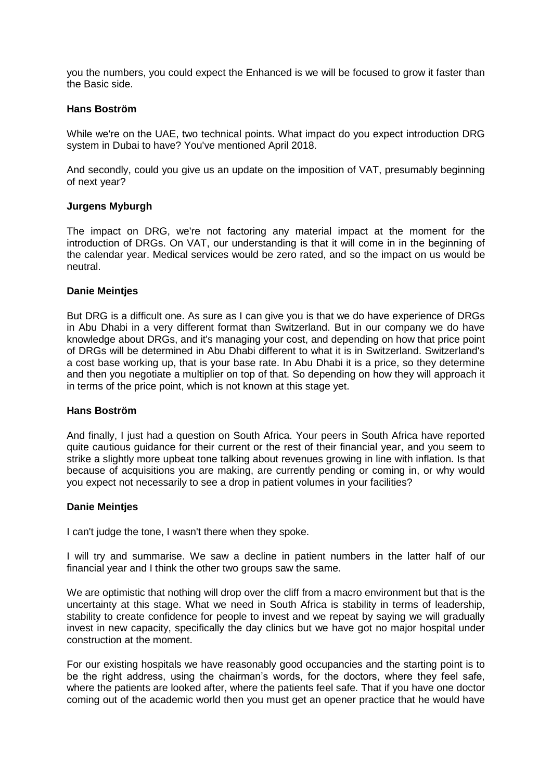you the numbers, you could expect the Enhanced is we will be focused to grow it faster than the Basic side.

### **Hans Boström**

While we're on the UAE, two technical points. What impact do you expect introduction DRG system in Dubai to have? You've mentioned April 2018.

And secondly, could you give us an update on the imposition of VAT, presumably beginning of next year?

### **Jurgens Myburgh**

The impact on DRG, we're not factoring any material impact at the moment for the introduction of DRGs. On VAT, our understanding is that it will come in in the beginning of the calendar year. Medical services would be zero rated, and so the impact on us would be neutral.

### **Danie Meintjes**

But DRG is a difficult one. As sure as I can give you is that we do have experience of DRGs in Abu Dhabi in a very different format than Switzerland. But in our company we do have knowledge about DRGs, and it's managing your cost, and depending on how that price point of DRGs will be determined in Abu Dhabi different to what it is in Switzerland. Switzerland's a cost base working up, that is your base rate. In Abu Dhabi it is a price, so they determine and then you negotiate a multiplier on top of that. So depending on how they will approach it in terms of the price point, which is not known at this stage yet.

### **Hans Boström**

And finally, I just had a question on South Africa. Your peers in South Africa have reported quite cautious guidance for their current or the rest of their financial year, and you seem to strike a slightly more upbeat tone talking about revenues growing in line with inflation. Is that because of acquisitions you are making, are currently pending or coming in, or why would you expect not necessarily to see a drop in patient volumes in your facilities?

### **Danie Meintjes**

I can't judge the tone, I wasn't there when they spoke.

I will try and summarise. We saw a decline in patient numbers in the latter half of our financial year and I think the other two groups saw the same.

We are optimistic that nothing will drop over the cliff from a macro environment but that is the uncertainty at this stage. What we need in South Africa is stability in terms of leadership, stability to create confidence for people to invest and we repeat by saying we will gradually invest in new capacity, specifically the day clinics but we have got no major hospital under construction at the moment.

For our existing hospitals we have reasonably good occupancies and the starting point is to be the right address, using the chairman's words, for the doctors, where they feel safe, where the patients are looked after, where the patients feel safe. That if you have one doctor coming out of the academic world then you must get an opener practice that he would have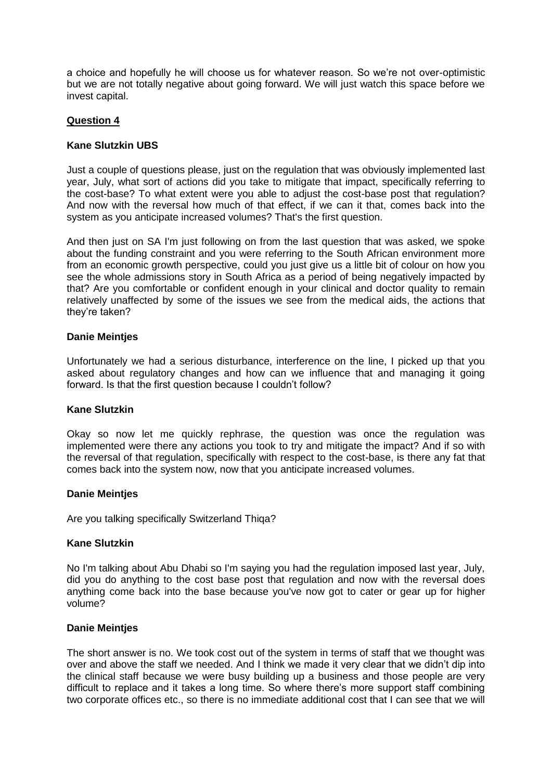a choice and hopefully he will choose us for whatever reason. So we're not over-optimistic but we are not totally negative about going forward. We will just watch this space before we invest capital.

# **Question 4**

### **Kane Slutzkin UBS**

Just a couple of questions please, just on the regulation that was obviously implemented last year, July, what sort of actions did you take to mitigate that impact, specifically referring to the cost-base? To what extent were you able to adjust the cost-base post that regulation? And now with the reversal how much of that effect, if we can it that, comes back into the system as you anticipate increased volumes? That's the first question.

And then just on SA I'm just following on from the last question that was asked, we spoke about the funding constraint and you were referring to the South African environment more from an economic growth perspective, could you just give us a little bit of colour on how you see the whole admissions story in South Africa as a period of being negatively impacted by that? Are you comfortable or confident enough in your clinical and doctor quality to remain relatively unaffected by some of the issues we see from the medical aids, the actions that they're taken?

### **Danie Meintjes**

Unfortunately we had a serious disturbance, interference on the line, I picked up that you asked about regulatory changes and how can we influence that and managing it going forward. Is that the first question because I couldn't follow?

### **Kane Slutzkin**

Okay so now let me quickly rephrase, the question was once the regulation was implemented were there any actions you took to try and mitigate the impact? And if so with the reversal of that regulation, specifically with respect to the cost-base, is there any fat that comes back into the system now, now that you anticipate increased volumes.

### **Danie Meintjes**

Are you talking specifically Switzerland Thiqa?

## **Kane Slutzkin**

No I'm talking about Abu Dhabi so I'm saying you had the regulation imposed last year, July, did you do anything to the cost base post that regulation and now with the reversal does anything come back into the base because you've now got to cater or gear up for higher volume?

### **Danie Meintjes**

The short answer is no. We took cost out of the system in terms of staff that we thought was over and above the staff we needed. And I think we made it very clear that we didn't dip into the clinical staff because we were busy building up a business and those people are very difficult to replace and it takes a long time. So where there's more support staff combining two corporate offices etc., so there is no immediate additional cost that I can see that we will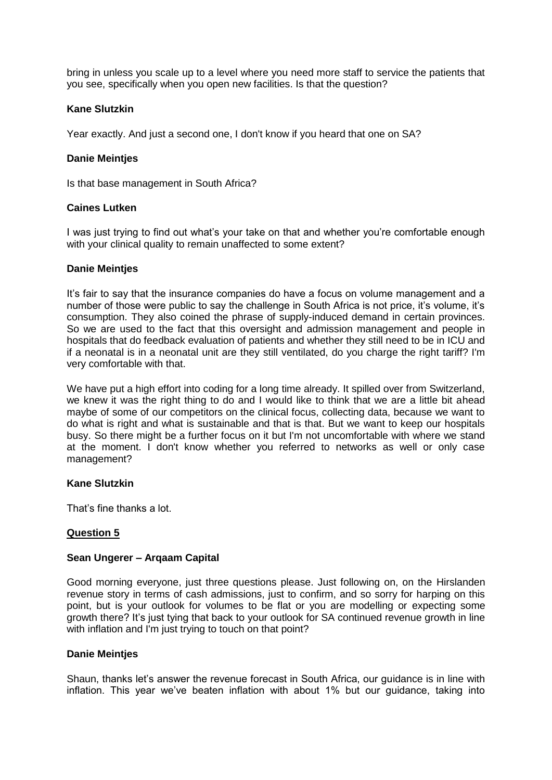bring in unless you scale up to a level where you need more staff to service the patients that you see, specifically when you open new facilities. Is that the question?

### **Kane Slutzkin**

Year exactly. And just a second one, I don't know if you heard that one on SA?

### **Danie Meintjes**

Is that base management in South Africa?

### **Caines Lutken**

I was just trying to find out what's your take on that and whether you're comfortable enough with your clinical quality to remain unaffected to some extent?

### **Danie Meintjes**

It's fair to say that the insurance companies do have a focus on volume management and a number of those were public to say the challenge in South Africa is not price, it's volume, it's consumption. They also coined the phrase of supply-induced demand in certain provinces. So we are used to the fact that this oversight and admission management and people in hospitals that do feedback evaluation of patients and whether they still need to be in ICU and if a neonatal is in a neonatal unit are they still ventilated, do you charge the right tariff? I'm very comfortable with that.

We have put a high effort into coding for a long time already. It spilled over from Switzerland, we knew it was the right thing to do and I would like to think that we are a little bit ahead maybe of some of our competitors on the clinical focus, collecting data, because we want to do what is right and what is sustainable and that is that. But we want to keep our hospitals busy. So there might be a further focus on it but I'm not uncomfortable with where we stand at the moment. I don't know whether you referred to networks as well or only case management?

### **Kane Slutzkin**

That's fine thanks a lot.

# **Question 5**

# **Sean Ungerer – Arqaam Capital**

Good morning everyone, just three questions please. Just following on, on the Hirslanden revenue story in terms of cash admissions, just to confirm, and so sorry for harping on this point, but is your outlook for volumes to be flat or you are modelling or expecting some growth there? It's just tying that back to your outlook for SA continued revenue growth in line with inflation and I'm just trying to touch on that point?

### **Danie Meintjes**

Shaun, thanks let's answer the revenue forecast in South Africa, our guidance is in line with inflation. This year we've beaten inflation with about 1% but our guidance, taking into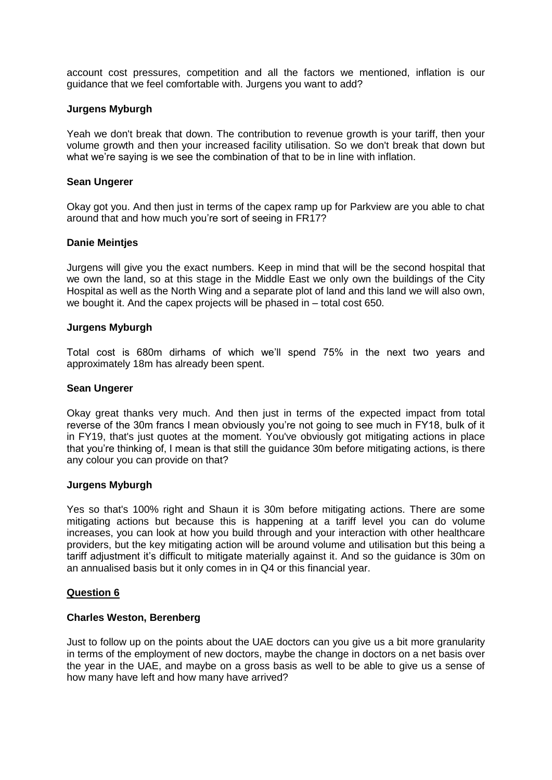account cost pressures, competition and all the factors we mentioned, inflation is our guidance that we feel comfortable with. Jurgens you want to add?

### **Jurgens Myburgh**

Yeah we don't break that down. The contribution to revenue growth is your tariff, then your volume growth and then your increased facility utilisation. So we don't break that down but what we're saying is we see the combination of that to be in line with inflation.

### **Sean Ungerer**

Okay got you. And then just in terms of the capex ramp up for Parkview are you able to chat around that and how much you're sort of seeing in FR17?

### **Danie Meintjes**

Jurgens will give you the exact numbers. Keep in mind that will be the second hospital that we own the land, so at this stage in the Middle East we only own the buildings of the City Hospital as well as the North Wing and a separate plot of land and this land we will also own, we bought it. And the capex projects will be phased in – total cost 650.

### **Jurgens Myburgh**

Total cost is 680m dirhams of which we'll spend 75% in the next two years and approximately 18m has already been spent.

### **Sean Ungerer**

Okay great thanks very much. And then just in terms of the expected impact from total reverse of the 30m francs I mean obviously you're not going to see much in FY18, bulk of it in FY19, that's just quotes at the moment. You've obviously got mitigating actions in place that you're thinking of, I mean is that still the guidance 30m before mitigating actions, is there any colour you can provide on that?

### **Jurgens Myburgh**

Yes so that's 100% right and Shaun it is 30m before mitigating actions. There are some mitigating actions but because this is happening at a tariff level you can do volume increases, you can look at how you build through and your interaction with other healthcare providers, but the key mitigating action will be around volume and utilisation but this being a tariff adjustment it's difficult to mitigate materially against it. And so the guidance is 30m on an annualised basis but it only comes in in Q4 or this financial year.

### **Question 6**

### **Charles Weston, Berenberg**

Just to follow up on the points about the UAE doctors can you give us a bit more granularity in terms of the employment of new doctors, maybe the change in doctors on a net basis over the year in the UAE, and maybe on a gross basis as well to be able to give us a sense of how many have left and how many have arrived?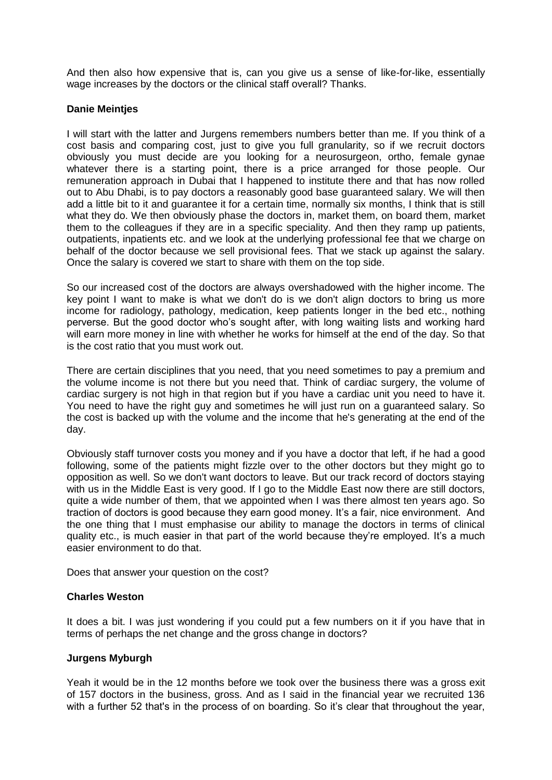And then also how expensive that is, can you give us a sense of like-for-like, essentially wage increases by the doctors or the clinical staff overall? Thanks.

## **Danie Meintjes**

I will start with the latter and Jurgens remembers numbers better than me. If you think of a cost basis and comparing cost, just to give you full granularity, so if we recruit doctors obviously you must decide are you looking for a neurosurgeon, ortho, female gynae whatever there is a starting point, there is a price arranged for those people. Our remuneration approach in Dubai that I happened to institute there and that has now rolled out to Abu Dhabi, is to pay doctors a reasonably good base guaranteed salary. We will then add a little bit to it and guarantee it for a certain time, normally six months, I think that is still what they do. We then obviously phase the doctors in, market them, on board them, market them to the colleagues if they are in a specific speciality. And then they ramp up patients, outpatients, inpatients etc. and we look at the underlying professional fee that we charge on behalf of the doctor because we sell provisional fees. That we stack up against the salary. Once the salary is covered we start to share with them on the top side.

So our increased cost of the doctors are always overshadowed with the higher income. The key point I want to make is what we don't do is we don't align doctors to bring us more income for radiology, pathology, medication, keep patients longer in the bed etc., nothing perverse. But the good doctor who's sought after, with long waiting lists and working hard will earn more money in line with whether he works for himself at the end of the day. So that is the cost ratio that you must work out.

There are certain disciplines that you need, that you need sometimes to pay a premium and the volume income is not there but you need that. Think of cardiac surgery, the volume of cardiac surgery is not high in that region but if you have a cardiac unit you need to have it. You need to have the right guy and sometimes he will just run on a guaranteed salary. So the cost is backed up with the volume and the income that he's generating at the end of the day.

Obviously staff turnover costs you money and if you have a doctor that left, if he had a good following, some of the patients might fizzle over to the other doctors but they might go to opposition as well. So we don't want doctors to leave. But our track record of doctors staying with us in the Middle East is very good. If I go to the Middle East now there are still doctors, quite a wide number of them, that we appointed when I was there almost ten years ago. So traction of doctors is good because they earn good money. It's a fair, nice environment. And the one thing that I must emphasise our ability to manage the doctors in terms of clinical quality etc., is much easier in that part of the world because they're employed. It's a much easier environment to do that.

Does that answer your question on the cost?

### **Charles Weston**

It does a bit. I was just wondering if you could put a few numbers on it if you have that in terms of perhaps the net change and the gross change in doctors?

### **Jurgens Myburgh**

Yeah it would be in the 12 months before we took over the business there was a gross exit of 157 doctors in the business, gross. And as I said in the financial year we recruited 136 with a further 52 that's in the process of on boarding. So it's clear that throughout the year,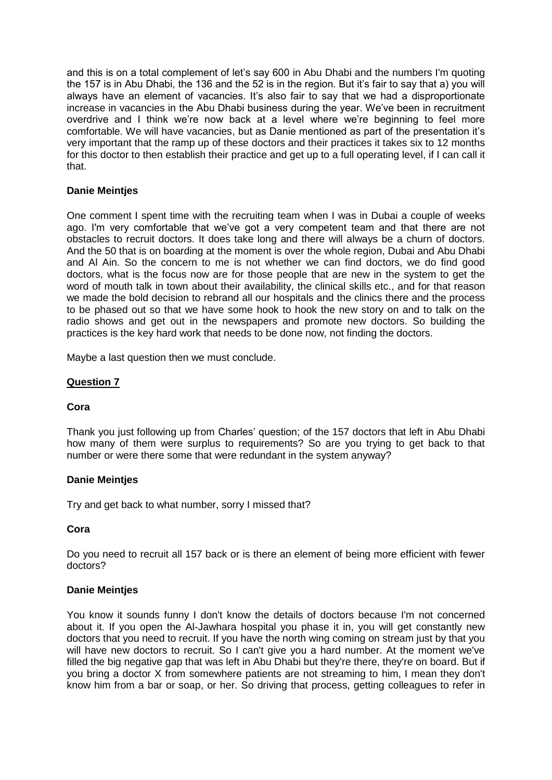and this is on a total complement of let's say 600 in Abu Dhabi and the numbers I'm quoting the 157 is in Abu Dhabi, the 136 and the 52 is in the region. But it's fair to say that a) you will always have an element of vacancies. It's also fair to say that we had a disproportionate increase in vacancies in the Abu Dhabi business during the year. We've been in recruitment overdrive and I think we're now back at a level where we're beginning to feel more comfortable. We will have vacancies, but as Danie mentioned as part of the presentation it's very important that the ramp up of these doctors and their practices it takes six to 12 months for this doctor to then establish their practice and get up to a full operating level, if I can call it that.

# **Danie Meintjes**

One comment I spent time with the recruiting team when I was in Dubai a couple of weeks ago. I'm very comfortable that we've got a very competent team and that there are not obstacles to recruit doctors. It does take long and there will always be a churn of doctors. And the 50 that is on boarding at the moment is over the whole region, Dubai and Abu Dhabi and Al Ain. So the concern to me is not whether we can find doctors, we do find good doctors, what is the focus now are for those people that are new in the system to get the word of mouth talk in town about their availability, the clinical skills etc., and for that reason we made the bold decision to rebrand all our hospitals and the clinics there and the process to be phased out so that we have some hook to hook the new story on and to talk on the radio shows and get out in the newspapers and promote new doctors. So building the practices is the key hard work that needs to be done now, not finding the doctors.

Maybe a last question then we must conclude.

### **Question 7**

### **Cora**

Thank you just following up from Charles' question; of the 157 doctors that left in Abu Dhabi how many of them were surplus to requirements? So are you trying to get back to that number or were there some that were redundant in the system anyway?

### **Danie Meintjes**

Try and get back to what number, sorry I missed that?

### **Cora**

Do you need to recruit all 157 back or is there an element of being more efficient with fewer doctors?

### **Danie Meintjes**

You know it sounds funny I don't know the details of doctors because I'm not concerned about it. If you open the Al-Jawhara hospital you phase it in, you will get constantly new doctors that you need to recruit. If you have the north wing coming on stream just by that you will have new doctors to recruit. So I can't give you a hard number. At the moment we've filled the big negative gap that was left in Abu Dhabi but they're there, they're on board. But if you bring a doctor X from somewhere patients are not streaming to him, I mean they don't know him from a bar or soap, or her. So driving that process, getting colleagues to refer in